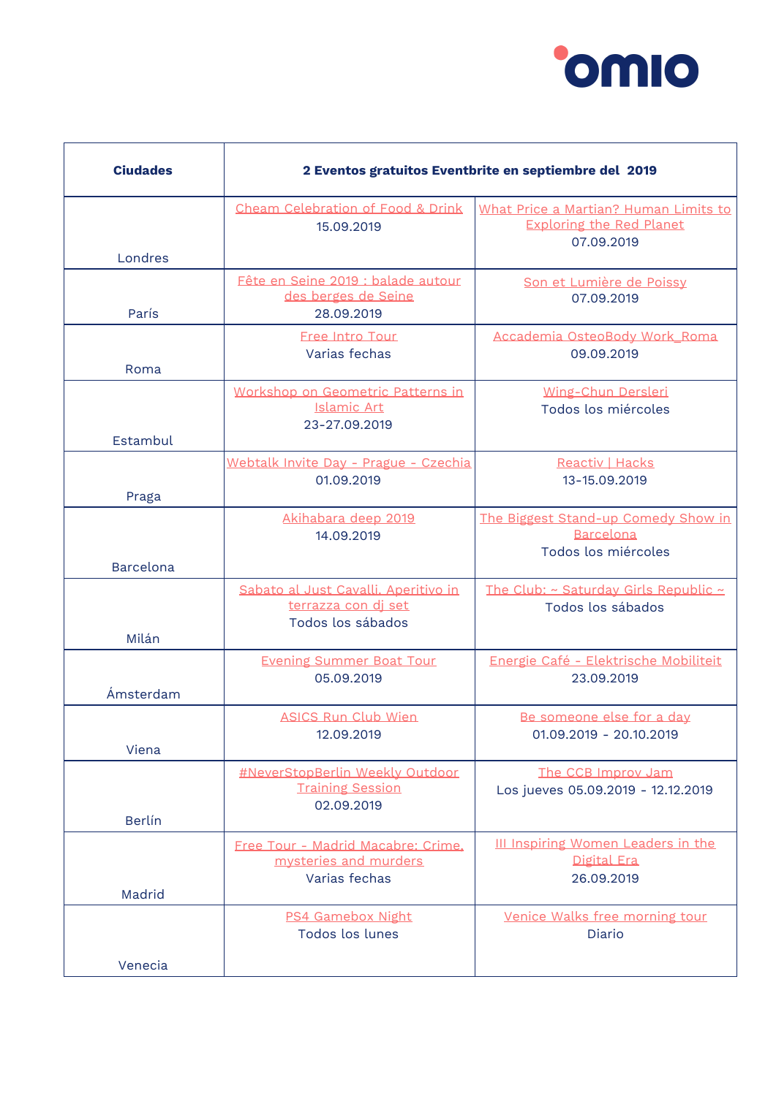

| <b>Ciudades</b>  | 2 Eventos gratuitos Eventbrite en septiembre del 2019                            |                                                                                        |
|------------------|----------------------------------------------------------------------------------|----------------------------------------------------------------------------------------|
| Londres          | Cheam Celebration of Food & Drink<br>15.09.2019                                  | What Price a Martian? Human Limits to<br><b>Exploring the Red Planet</b><br>07.09.2019 |
| París            | Fête en Seine 2019 : balade autour<br>des berges de Seine<br>28.09.2019          | Son et Lumière de Poissy<br>07.09.2019                                                 |
| Roma             | <b>Free Intro Tour</b><br>Varias fechas                                          | Accademia OsteoBody Work_Roma<br>09.09.2019                                            |
| Estambul         | Workshop on Geometric Patterns in<br>Islamic Art<br>23-27.09.2019                | Wing-Chun Dersleri<br>Todos los miércoles                                              |
| Praga            | Webtalk Invite Day - Prague - Czechia<br>01.09.2019                              | Reactiv   Hacks<br>13-15.09.2019                                                       |
| <b>Barcelona</b> | Akihabara deep 2019<br>14.09.2019                                                | The Biggest Stand-up Comedy Show in<br><b>Barcelona</b><br>Todos los miércoles         |
| Milán            | Sabato al Just Cavalli. Aperitivo in<br>terrazza con di set<br>Todos los sábados | The Club: ~ Saturday Girls Republic ~<br>Todos los sábados                             |
| Ámsterdam        | <b>Evening Summer Boat Tour</b><br>05.09.2019                                    | Energie Café - Elektrische Mobiliteit<br>23.09.2019                                    |
| Viena            | <b>ASICS Run Club Wien</b><br>12.09.2019                                         | Be someone else for a day<br>01.09.2019 - 20.10.2019                                   |
| <b>Berlín</b>    | #NeverStopBerlin Weekly Outdoor<br><b>Training Session</b><br>02.09.2019         | The CCB Improv Jam<br>Los jueves 05.09.2019 - 12.12.2019                               |
| Madrid           | Free Tour - Madrid Macabre: Crime.<br>mysteries and murders<br>Varias fechas     | III Inspiring Women Leaders in the<br>Digital Era<br>26.09.2019                        |
|                  | <b>PS4 Gamebox Night</b><br>Todos los lunes                                      | Venice Walks free morning tour<br>Diario                                               |
| Venecia          |                                                                                  |                                                                                        |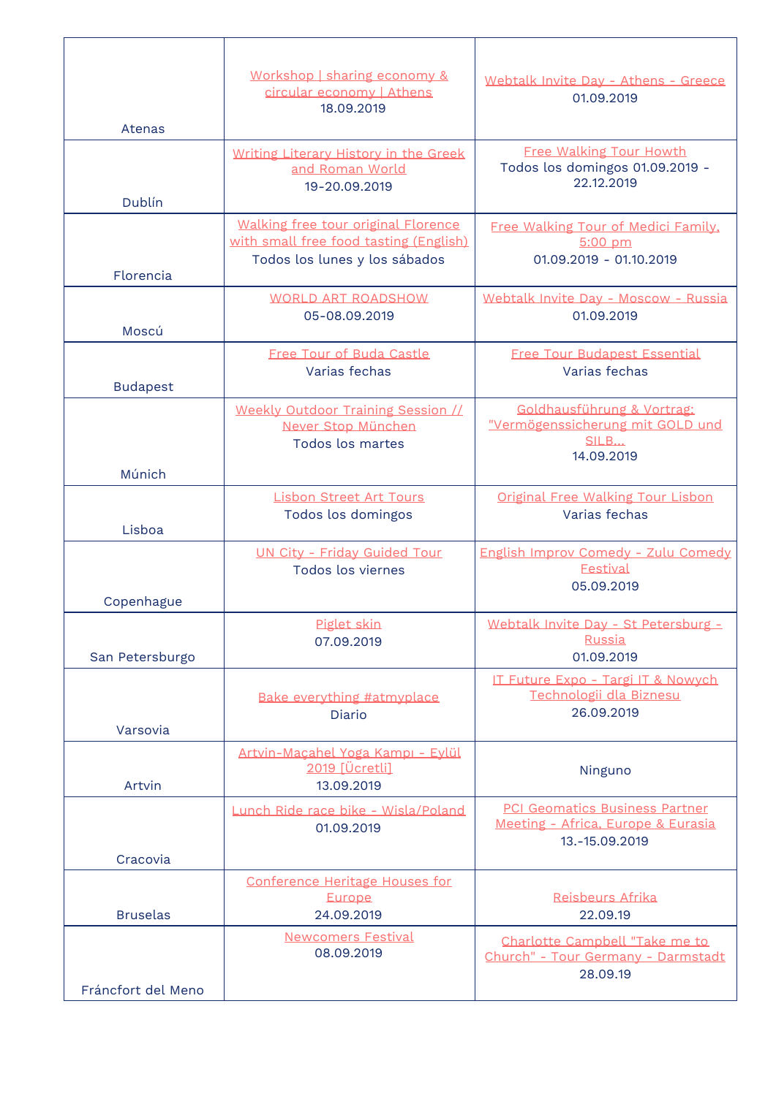| Atenas             | Workshop   sharing economy &<br>circular economy   Athens<br>18.09.2019                                        | Webtalk Invite Day - Athens - Greece<br>01.09.2019                                            |
|--------------------|----------------------------------------------------------------------------------------------------------------|-----------------------------------------------------------------------------------------------|
| Dublín             | Writing Literary History in the Greek<br>and Roman World<br>19-20.09.2019                                      | <b>Free Walking Tour Howth</b><br>Todos los domingos 01.09.2019 -<br>22.12.2019               |
| Florencia          | Walking free tour original Florence<br>with small free food tasting (English)<br>Todos los lunes y los sábados | Free Walking Tour of Medici Family.<br>$5:00$ pm<br>01.09.2019 - 01.10.2019                   |
| Moscú              | <b>WORLD ART ROADSHOW</b><br>05-08.09.2019                                                                     | Webtalk Invite Day - Moscow - Russia<br>01.09.2019                                            |
| <b>Budapest</b>    | Free Tour of Buda Castle<br>Varias fechas                                                                      | <b>Free Tour Budapest Essential</b><br>Varias fechas                                          |
| Múnich             | Weekly Outdoor Training Session //<br>Never Stop München<br>Todos los martes                                   | Goldhausführung & Vortrag:<br>"Vermögenssicherung mit GOLD und<br>SILB<br>14.09.2019          |
| Lisboa             | <b>Lisbon Street Art Tours</b><br>Todos los domingos                                                           | Original Free Walking Tour Lisbon<br>Varias fechas                                            |
| Copenhague         | <b>UN City - Friday Guided Tour</b><br>Todos los viernes                                                       | English Improv Comedy - Zulu Comedy<br><b>Festival</b><br>05.09.2019                          |
| San Petersburgo    | Piglet skin<br>07.09.2019                                                                                      | Webtalk Invite Day - St Petersburg -<br>Russia<br>01.09.2019                                  |
| Varsovia           | Bake everything #atmyplace<br>Diario                                                                           | <b>IT Future Expo - Targi IT &amp; Nowvch</b><br>Technologii dla Biznesu<br>26.09.2019        |
| Artvin             | Artvin-Maçahel Yoga Kampı - Eylül<br>2019 [Ücretli]<br>13.09.2019                                              | Ninguno                                                                                       |
| Cracovia           | Lunch Ride race bike - Wisla/Poland<br>01.09.2019                                                              | <b>PCI Geomatics Business Partner</b><br>Meeting - Africa, Europe & Eurasia<br>13.-15.09.2019 |
| <b>Bruselas</b>    | Conference Heritage Houses for<br>Europe<br>24.09.2019                                                         | Reisbeurs Afrika<br>22.09.19                                                                  |
| Fráncfort del Meno | <b>Newcomers Festival</b><br>08.09.2019                                                                        | Charlotte Campbell "Take me to<br>Church" - Tour Germany - Darmstadt<br>28.09.19              |